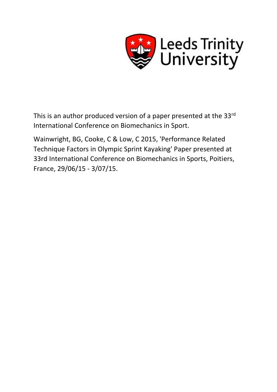

This is an author produced version of a paper presented at the 33rd International Conference on Biomechanics in Sport.

Wainwright, BG, Cooke, C & Low, C 2015, 'Performance Related Technique Factors in Olympic Sprint Kayaking' Paper presented at 33rd International Conference on Biomechanics in Sports, Poitiers, France, 29/06/15 - 3/07/15.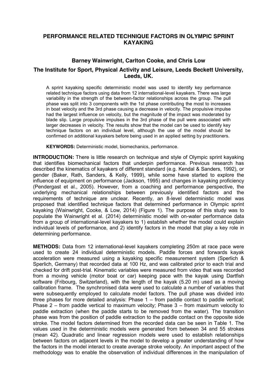# **PERFORMANCE RELATED TECHNIQUE FACTORS IN OLYMPIC SPRINT KAYAKING**

## **Barney Wainwright, Carlton Cooke, and Chris Low**

## **The Institute for Sport, Physical Activity and Leisure, Leeds Beckett University, Leeds, UK.**

A sprint kayaking specific deterministic model was used to identify key performance related technique factors using data from 12 international-level kayakers. There was large variability in the strength of the between-factor relationships across the group. The pull phase was split into 3 components with the 1st phase contributing the most to increases in boat velocity and the 3rd phase causing a decrease in velocity. The propulsive impulse had the largest influence on velocity, but the magnitude of the impact was moderated by blade slip. Large propulsive impulses in the 3rd phase of the pull were associated with larger decreases in velocity. The results show that the model can be used to identify key technique factors on an individual level, although the use of the model should be confirmed on additional kayakers before being used in an applied setting by practitioners.

**KEYWORDS:** Deterministic model, biomechanics, performance.

**INTRODUCTION:** There is little research on technique and style of Olympic sprint kayaking that identifies biomechanical factors that underpin performance. Previous research has described the kinematics of kayakers of different standard (e.g. Kendal & Sanders, 1992), or gender (Baker, Rath, Sanders, & Kelly, 1999), while some have started to explore the influence of equipment on performance (Jackson, 1995) and changes in kayaking proficiency (Pendergast et al., 2005). However, from a coaching and performance perspective, the underlying mechanical relationships between previously identified factors and the requirements of technique are unclear. Recently, an 8-level deterministic model was proposed that identified technique factors that determined performance in Olympic sprint kayaking (Wainwright, Cooke, & Low, 2014) (Figure 1). The purpose of this study was to populate the Wainwright et al. (2014) deterministic model with on-water performance data from a group of international-level kayakers to 1) establish whether the model could explain individual levels of performance, and 2) identify factors in the model that play a key role in determining performance.

**METHODS:** Data from 12 international-level kayakers completing 250m at race pace were used to create 24 individual deterministic models. Paddle forces and forwards kayak acceleration were measured using a kayaking specific measurement system (Sperlich & Sperlich, Germany) that recorded data at 100 Hz, and was calibrated prior to each trial and checked for drift post-trial. Kinematic variables were measured from video that was recorded from a moving vehicle (motor boat or car) keeping pace with the kayak using Dartfish software (Fribourg, Switzerland), with the length of the kayak (5.20 m) used as a moving calibration frame. The synchronised data were used to calculate a number of variables that were subsequently employed to calculate model factors. The pull phase was divided into three phases for more detailed analysis: Phase  $1 -$  from paddle contact to paddle vertical; Phase 2 – from paddle vertical to maximum velocity; Phase 3 – from maximum velocity to paddle extraction (when the paddle starts to be removed from the water). The transition phase was from the position of paddle extraction to the paddle contact on the opposite side stroke. The model factors determined from the recorded data can be seen in Table 1. The values used in the deterministic models were generated from between 34 and 55 strokes (mean 42). Quadratic and linear regression models were used to establish relationships between factors on adjacent levels in the model to develop a greater understanding of how the factors in the model interact to create average stroke velocity. An important aspect of the methodology was to enable the observation of individual differences in the manipulation of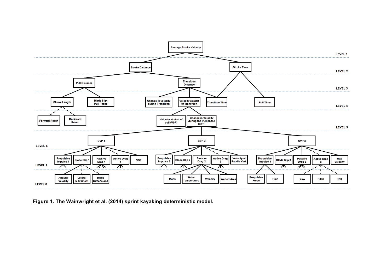

**Figure 1. The Wainwright et al. (2014) sprint kayaking deterministic model.**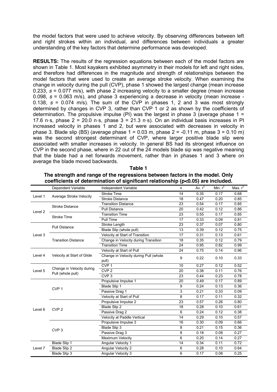the model factors that were used to achieve velocity. By observing differences between left and right strokes within an individual, and differences between individuals a greater understanding of the key factors that determine performance was developed.

**RESULTS:** The results of the regression equations between each of the model factors are shown in Table 1. Most kayakers exhibited asymmetry in their models for left and right sides, and therefore had differences in the magnitude and strength of relationships between the model factors that were used to create an average stroke velocity. When examining the change in velocity during the pull (CVP), phase 1 showed the largest change (mean increase 0.233, *s* = 0.077 m/s), with phase 2 increasing velocity to a smaller degree (mean increase 0.098, *s* = 0.063 m/s), and phase 3 experiencing a decrease in velocity (mean increase - 0.138, *s* = 0.074 m/s). The sum of the CVP in phases 1, 2 and 3 was most strongly determined by changes in CVP 3, rather than CVP 1 or 2 as shown by the coefficients of determination. The propulsive impulse (PI) was the largest in phase 3 (average phase  $1 =$ 17.6 n·s, phase  $2 = 20.0$  n·s, phase  $3 = 21.3$  n·s). On an individual basis increases in PI increased velocity in phases 1 and 2, but were associated with decreases in velocity in phase 3. Blade slip (BS) (average phase  $1 = 0.03$  m, phase  $2 = -0.11$  m, phase  $3 = 0.10$  m) was the second strongest determinant of CVP, where larger positive blade slip were associated with smaller increases in velocity. In general BS had its strongest influence on CVP in the second phase, where in 22 out of the 24 models blade sip was negative meaning that the blade had a net forwards movement, rather than in phases 1 and 3 where on average the blade moved backwards.

#### **Table 1**

| The strength and range of the regressions between factors in the model. Only         |
|--------------------------------------------------------------------------------------|
| coefficients of determination of significant relationship ( $p<0.05$ ) are included. |

|         | Dependent Variable                             | Independent Variable                           | n               | Av. $r^2$ | Min. $r^2$ | Max. $r^2$ |
|---------|------------------------------------------------|------------------------------------------------|-----------------|-----------|------------|------------|
| Level 1 | Average Stroke Velocity                        | <b>Stroke Time</b>                             | 14              | 0.35      | 0.17       | 0.68       |
|         |                                                | <b>Stroke Distance</b>                         | 18              | 0.47      | 0.20       | 0.85       |
| Level 2 | <b>Stroke Distance</b>                         | <b>Transition Distance</b>                     | 23              | 0.54      | 0.17       | 0.85       |
|         |                                                | <b>Pull Distance</b>                           | 20              | 0.42      | 0.12       | 0.86       |
|         | <b>Stroke Time</b>                             | <b>Transition Time</b>                         | 23              | 0.55      | 0.17       | 0.85       |
|         |                                                | Pull Time                                      | 17              | 0.33      | 0.09       | 0.81       |
|         | <b>Pull Distance</b>                           | Stroke Length                                  | 23              | 0.37      | 0.07       | 0.80       |
|         |                                                | Blade Slip (whole pull)                        | $\overline{13}$ | 0.39      | 0.12       | 0.75       |
| Level 3 | <b>Transition Distance</b>                     | Velocity at Start of Transition                | 17              | 0.31      | 0.13       | 0.61       |
|         |                                                | Change in Velocity during Transition           | 18              | 0.35      | 0.12       | 0.79       |
|         |                                                | <b>Transition Time</b>                         | 24              | 0.95      | 0.82       | 0.99       |
|         | Velocity at Start of Glide                     | Velocity at Start of Pull                      | 24              | 0.75      | 0.14       | 0.96       |
| Level 4 |                                                | Change in Velocity during Pull (whole<br>pull) | 9               | 0.22      | 0.10       | 0.33       |
| Level 5 | Change in Velocity during<br>Pull (whole pull) | CVP <sub>1</sub>                               | 10              | 0.27      | 0.12       | 0.52       |
|         |                                                | CVP <sub>2</sub>                               | 20              | 0.38      | 0.11       | 0.76       |
|         |                                                | CVP <sub>3</sub>                               | 23              | 0.44      | 0.23       | 0.78       |
|         | CVP <sub>1</sub>                               | Propulsive Impulse 1                           | 20              | 0.49      | 0.17       | 0.89       |
|         |                                                | Blade Slip 1                                   | 9               | 0.24      | 0.13       | 0.36       |
|         |                                                | Passive Drag 1                                 | 3               | 0.21      | 0.33       | 0.09       |
|         |                                                | Velocity at Start of Pull                      | 8               | 0.17      | 0.11       | 0.32       |
|         | CVP <sub>2</sub>                               | Propulsive Impulse 2                           | 23              | 0.57      | 0.26       | 0.80       |
| Level 6 |                                                | <b>Blade Slip 2</b>                            | 18              | 0.28      | 0.10       | 0.61       |
|         |                                                | Passive Drag 2                                 | 6               | 0.24      | 0.12       | 0.38       |
|         |                                                | Velocity at Paddle Vertical                    | 14              | 0.29      | 0.10       | 0.57       |
|         | CVP <sub>3</sub>                               | Propulsive Impulse 3                           | 16              | 0.30      | 0.09       | 0.66       |
|         |                                                | Blade Slip 3                                   | 8               | 0.21      | 0.15       | 0.36       |
|         |                                                | Passive Drag 3                                 | 8               | 0.18      | 0.08       | 0.27       |
|         |                                                | Maximum Velocity                               | 6               | 0.20      | 0.14       | 0.27       |
| Level 7 | Blade Slip 1                                   | Angular Velocity 1                             | 14              | 0.34      | 0.11       | 0.72       |
|         | Blade Slip 2                                   | Angular Velocity 2                             | 6               | 0.28      | 0.10       | 0.64       |
|         | Blade Slip 3                                   | Angular Velocity 3                             | 6               | 0.17      | 0.08       | 0.25       |